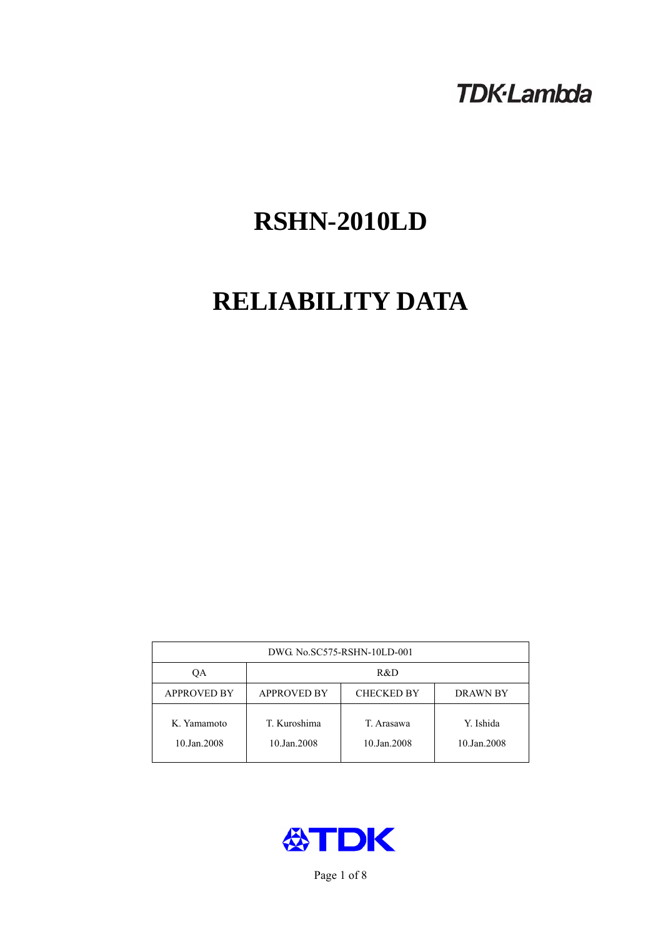# **TDK-Lambda**

# **RSHN-2010LD**

# **RELIABILITY DATA**

| DWG. No.SC575-RSHN-10LD-001 |                                                     |                           |                          |  |  |
|-----------------------------|-----------------------------------------------------|---------------------------|--------------------------|--|--|
| OА                          | R&D                                                 |                           |                          |  |  |
| <b>APPROVED BY</b>          | <b>APPROVED BY</b><br><b>CHECKED BY</b><br>DRAWN BY |                           |                          |  |  |
| K. Yamamoto<br>10.Jan.2008  | T. Kuroshima<br>10.Jan.2008                         | T. Arasawa<br>10.Jan.2008 | Y. Ishida<br>10.Jan.2008 |  |  |



Page 1 of 8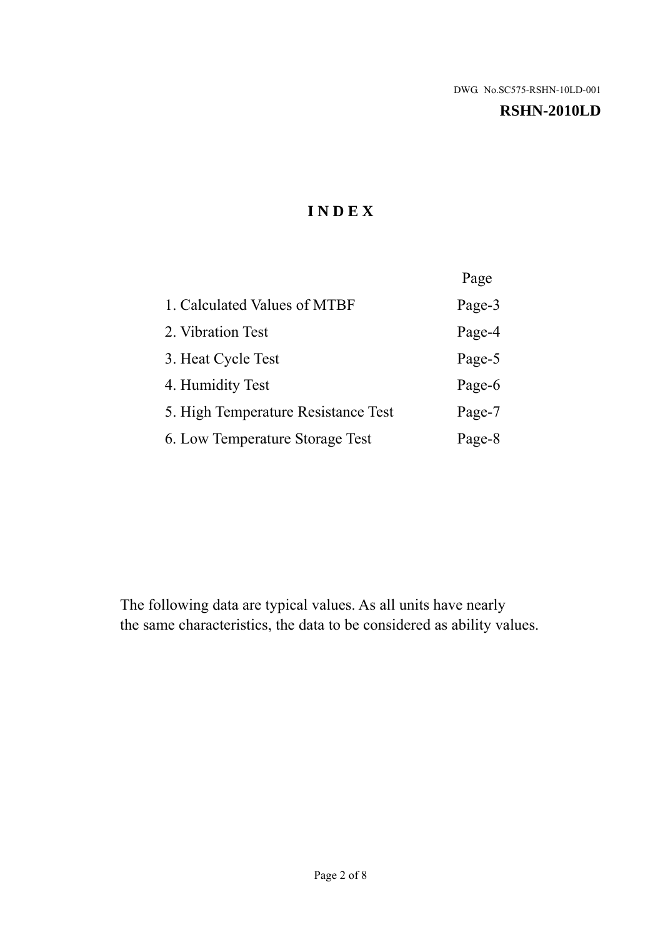### **RSHN-2010LD**

# **I N D E X**

|                                     | Page   |
|-------------------------------------|--------|
| 1. Calculated Values of MTBF        | Page-3 |
| 2. Vibration Test                   | Page-4 |
| 3. Heat Cycle Test                  | Page-5 |
| 4. Humidity Test                    | Page-6 |
| 5. High Temperature Resistance Test | Page-7 |
| 6. Low Temperature Storage Test     | Page-8 |

The following data are typical values. As all units have nearly the same characteristics, the data to be considered as ability values.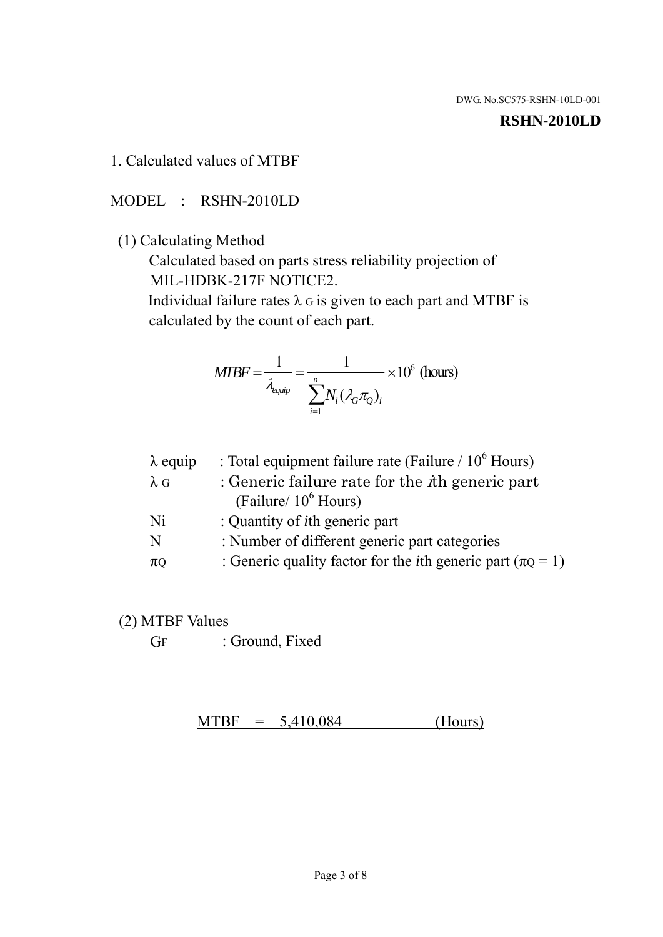#### **RSHN-2010LD**

## 1. Calculated values of MTBF

## MODEL : RSHN-2010LD

## (1) Calculating Method

 Calculated based on parts stress reliability projection of MIL-HDBK-217F NOTICE2.

Individual failure rates  $\lambda$  G is given to each part and MTBF is calculated by the count of each part.

$$
MTBF = \frac{1}{\lambda_{\text{equip}}} = \frac{1}{\sum_{i=1}^{n} N_i (\lambda_G \pi_Q)_i} \times 10^6 \text{ (hours)}
$$

| : Total equipment failure rate (Failure / $10^6$ Hours)                   |
|---------------------------------------------------------------------------|
| : Generic failure rate for the $\hbar$ generic part                       |
| (Failure/ $10^6$ Hours)                                                   |
| : Quantity of <i>i</i> th generic part                                    |
| : Number of different generic part categories                             |
| : Generic quality factor for the <i>i</i> th generic part ( $\pi Q = 1$ ) |
|                                                                           |

## (2) MTBF Values

GF : Ground, Fixed

 $MTBF = 5,410,084$  (Hours)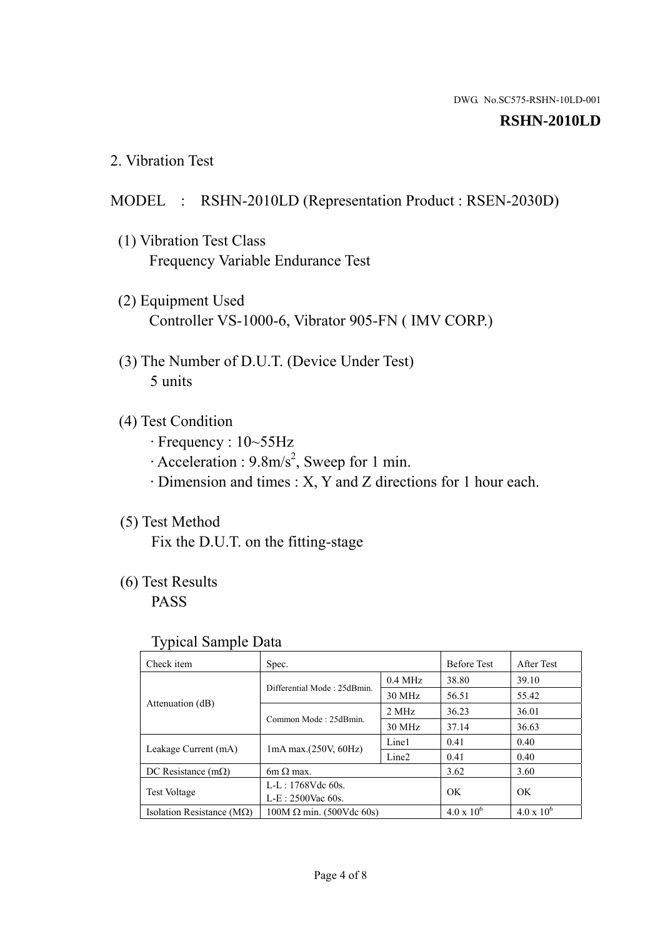### **RSHN-2010LD**

2. Vibration Test

## MODEL : RSHN-2010LD (Representation Product : RSEN-2030D)

- (1) Vibration Test Class Frequency Variable Endurance Test
- (2) Equipment Used Controller VS-1000-6, Vibrator 905-FN ( IMV CORP.)
- (3) The Number of D.U.T. (Device Under Test) 5 units
- (4) Test Condition
	- · Frequency : 10~55Hz
	- $\cdot$  Acceleration : 9.8m/s<sup>2</sup>, Sweep for 1 min.
	- · Dimension and times : X, Y and Z directions for 1 hour each.

# (5) Test Method

Fix the D.U.T. on the fitting-stage

# (6) Test Results

PASS

## Typical Sample Data

| Check item                         | Spec.                           |                   | <b>Before Test</b>  | After Test          |
|------------------------------------|---------------------------------|-------------------|---------------------|---------------------|
| Attenuation (dB)                   | Differential Mode: 25dBmin.     | $0.4$ MHz         | 38.80               | 39.10               |
|                                    |                                 | 30 MHz            | 56.51               | 55.42               |
|                                    | Common Mode: 25dBmin.           | 2 MHz             | 36.23               | 36.01               |
|                                    |                                 | 30 MHz            | 37.14               | 36.63               |
| Leakage Current (mA)               | $1mA$ max. $(250V, 60Hz)$       | Line1             | 0.41                | 0.40                |
|                                    |                                 | Line <sub>2</sub> | 0.41                | 0.40                |
| DC Resistance $(m\Omega)$          | 6m $\Omega$ max.                |                   | 3.62                | 3.60                |
| <b>Test Voltage</b>                | $L-L: 1768Vdc$ 60s.             |                   | OK                  | <b>OK</b>           |
|                                    | $L-E$ : 2500Vac 60s.            |                   |                     |                     |
| Isolation Resistance ( $M\Omega$ ) | $100M \Omega$ min. (500Vdc 60s) |                   | $4.0 \times 10^{6}$ | $4.0 \times 10^{6}$ |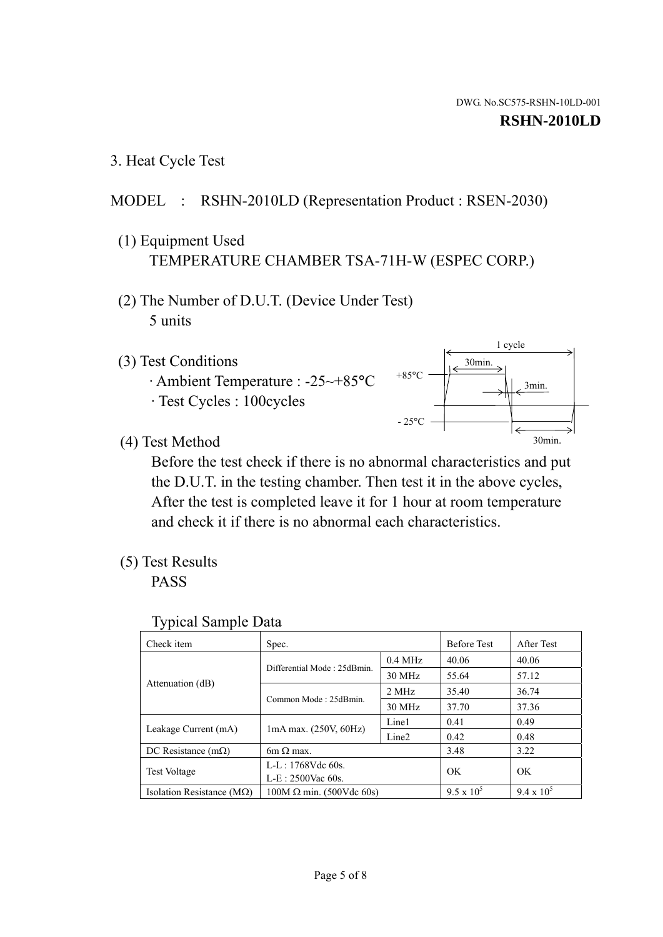1 cycle

30min.

3min.

30min.

3. Heat Cycle Test

## MODEL : RSHN-2010LD (Representation Product : RSEN-2030)

- (1) Equipment Used TEMPERATURE CHAMBER TSA-71H-W (ESPEC CORP.)
- (2) The Number of D.U.T. (Device Under Test) 5 units
- (3) Test Conditions
	- · Ambient Temperature : -25~+85°C · Test Cycles : 100cycles
- (4) Test Method

 Before the test check if there is no abnormal characteristics and put the D.U.T. in the testing chamber. Then test it in the above cycles, After the test is completed leave it for 1 hour at room temperature and check it if there is no abnormal each characteristics.

 $+85$ °C

 $-25^{\circ}$ C

(5) Test Results

PASS

| <b>Typical Sample Data</b> |  |  |
|----------------------------|--|--|
|----------------------------|--|--|

| Check item                         | Spec.                           |                   | <b>Before Test</b> | After Test        |
|------------------------------------|---------------------------------|-------------------|--------------------|-------------------|
|                                    | Differential Mode: 25dBmin.     | $0.4$ MHz         | 40.06              | 40.06             |
|                                    |                                 | 30 MHz            | 55.64              | 57.12             |
| Attenuation (dB)                   | Common Mode: 25dBmin.           | 2 MHz             | 35.40              | 36.74             |
|                                    |                                 | 30 MHz            | 37.70              | 37.36             |
| Leakage Current (mA)               | $1mA$ max. $(250V, 60Hz)$       | Line1             | 0.41               | 0.49              |
|                                    |                                 | Line <sub>2</sub> | 0.42               | 0.48              |
| DC Resistance $(m\Omega)$          | 6m $\Omega$ max.                |                   | 3.48               | 3.22              |
| <b>Test Voltage</b>                | $L-L: 1768Vdc$ 60s.             |                   | OK                 | OK                |
|                                    | $L-E: 2500$ Vac 60s.            |                   |                    |                   |
| Isolation Resistance ( $M\Omega$ ) | $100M \Omega$ min. (500Vdc 60s) |                   | $9.5 \times 10^5$  | $9.4 \times 10^5$ |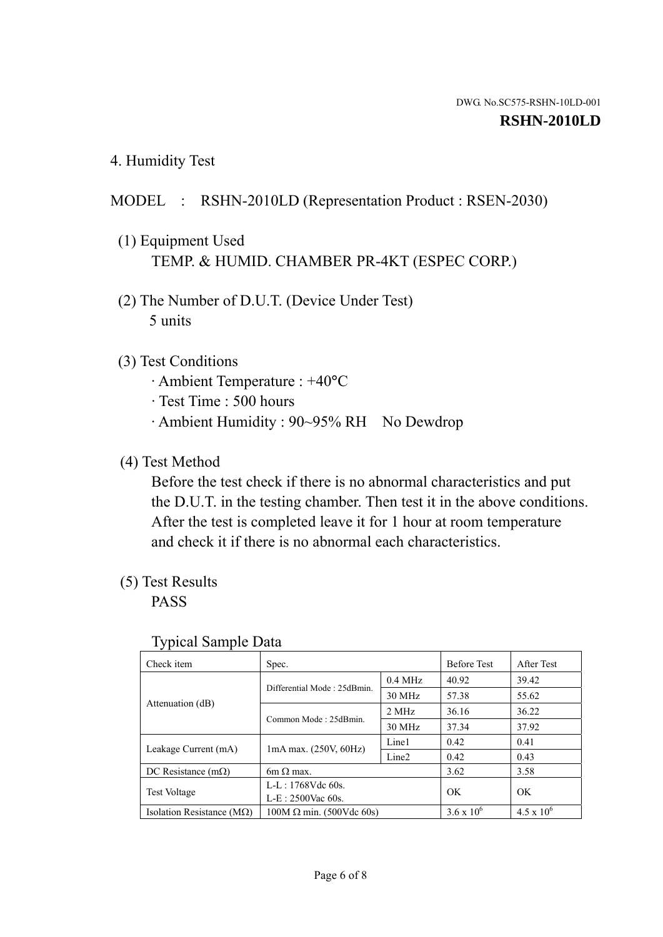4. Humidity Test

## MODEL : RSHN-2010LD (Representation Product : RSEN-2030)

- (1) Equipment Used TEMP. & HUMID. CHAMBER PR-4KT (ESPEC CORP.)
- (2) The Number of D.U.T. (Device Under Test) 5 units

## (3) Test Conditions

- · Ambient Temperature : +40°C
- · Test Time : 500 hours
- · Ambient Humidity : 90~95% RH No Dewdrop

## (4) Test Method

 Before the test check if there is no abnormal characteristics and put the D.U.T. in the testing chamber. Then test it in the above conditions. After the test is completed leave it for 1 hour at room temperature and check it if there is no abnormal each characteristics.

## (5) Test Results

PASS

| . .                                |                                 |                   |                     |                     |
|------------------------------------|---------------------------------|-------------------|---------------------|---------------------|
| Check item                         | Spec.                           |                   | <b>Before Test</b>  | After Test          |
| Attenuation (dB)                   | Differential Mode: 25dBmin.     | $0.4$ MHz         | 40.92               | 39.42               |
|                                    |                                 | 30 MHz            | 57.38               | 55.62               |
|                                    | Common Mode: 25dBmin.           | 2 MHz             | 36.16               | 36.22               |
|                                    |                                 | 30 MHz            | 37.34               | 37.92               |
| Leakage Current (mA)               | $1mA$ max. $(250V, 60Hz)$       | Line1             | 0.42                | 0.41                |
|                                    |                                 | Line <sub>2</sub> | 0.42                | 0.43                |
| DC Resistance (m $\Omega$ )        | $6m \Omega$ max.                |                   | 3.62                | 3.58                |
| <b>Test Voltage</b>                | $L-L: 1768Vdc$ 60s.             |                   | OK                  | OK.                 |
|                                    | $L-E$ : 2500Vac 60s.            |                   |                     |                     |
| Isolation Resistance ( $M\Omega$ ) | $100M \Omega$ min. (500Vdc 60s) |                   | $3.6 \times 10^{6}$ | $4.5 \times 10^{6}$ |

#### Typical Sample Data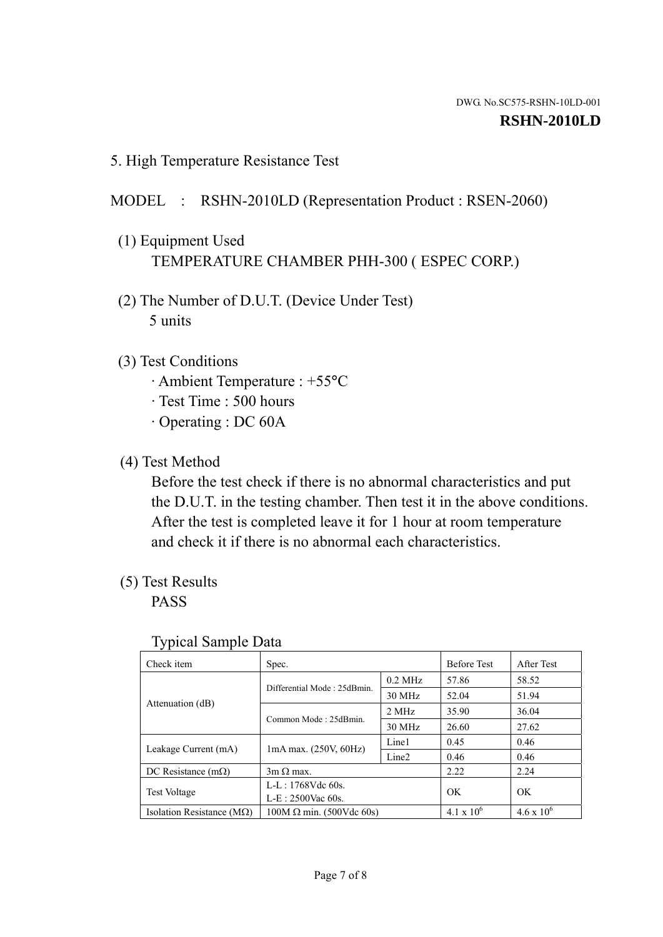5. High Temperature Resistance Test

# MODEL : RSHN-2010LD (Representation Product : RSEN-2060)

- (1) Equipment Used TEMPERATURE CHAMBER PHH-300 ( ESPEC CORP.)
- (2) The Number of D.U.T. (Device Under Test) 5 units
- (3) Test Conditions
	- · Ambient Temperature : +55°C
	- · Test Time : 500 hours
	- · Operating : DC 60A
- (4) Test Method

 Before the test check if there is no abnormal characteristics and put the D.U.T. in the testing chamber. Then test it in the above conditions. After the test is completed leave it for 1 hour at room temperature and check it if there is no abnormal each characteristics.

(5) Test Results

PASS

| J 1                                |                                 |                   |                     |                     |
|------------------------------------|---------------------------------|-------------------|---------------------|---------------------|
| Check item                         | Spec.                           |                   | <b>Before Test</b>  | After Test          |
|                                    | Differential Mode: 25dBmin.     | $0.2$ MHz         | 57.86               | 58.52               |
|                                    |                                 | 30 MHz            | 52.04               | 51.94               |
| Attenuation (dB)                   | Common Mode: 25dBmin.           | 2 MHz             | 35.90               | 36.04               |
|                                    |                                 | 30 MHz            | 26.60               | 27.62               |
| Leakage Current (mA)               | $1mA$ max. $(250V, 60Hz)$       | Line1             | 0.45                | 0.46                |
|                                    |                                 | Line <sub>2</sub> | 0.46                | 0.46                |
| DC Resistance $(m\Omega)$          | $3m \Omega$ max.                |                   | 2.22                | 2.24                |
| <b>Test Voltage</b>                | $L-L: 1768Vdc$ 60s.             |                   | OK                  |                     |
|                                    | $L-E: 2500$ Vac 60s.            |                   |                     | OK                  |
| Isolation Resistance ( $M\Omega$ ) | $100M \Omega$ min. (500Vdc 60s) |                   | $4.1 \times 10^{6}$ | $4.6 \times 10^{6}$ |

## Typical Sample Data